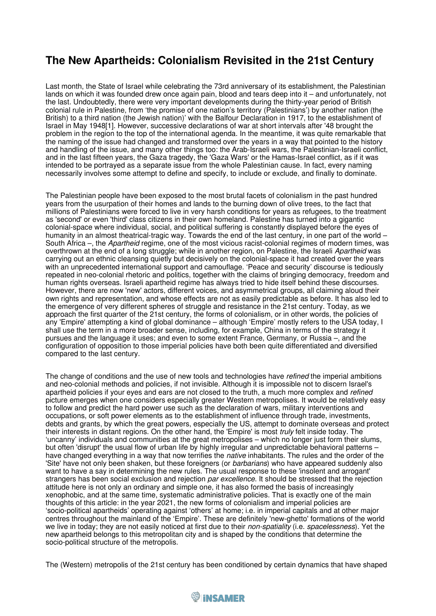## **The New Apartheids: Colonialism Revisited in the 21st Century**

Last month, the State of Israel while celebrating the 73rd anniversary of its establishment, the Palestinian lands on which it was founded drew once again pain, blood and tears deep into it – and unfortunately, not the last. Undoubtedly, there were very important developments during the thirty-year period of British colonial rule in Palestine, from 'the promise of one nation's territory (Palestinians') by another nation (the British) to a third nation (the Jewish nation)' with the Balfour Declaration in 1917, to the establishment of Israel in May 1948[1]. However, successive declarations of war at short intervals after '48 brought the problem in the region to the top of the international agenda. In the meantime, it was quite remarkable that the naming of the issue had changed and transformed over the years in a way that pointed to the history and handling of the issue, and many other things too: the Arab-Israeli wars, the Palestinian-Israeli conflict, and in the last fifteen years, the Gaza tragedy, the 'Gaza Wars' or the Hamas-Israel conflict, as if it was intended to be portrayed as a separate issue from the whole Palestinian cause. In fact, every naming necessarily involves some attempt to define and specify, to include or exclude, and finally to dominate.

The Palestinian people have been exposed to the most brutal facets of colonialism in the past hundred years from the usurpation of their homes and lands to the burning down of olive trees, to the fact that millions of Palestinians were forced to live in very harsh conditions for years as refugees, to the treatment as 'second' or even 'third' class citizens in their own homeland. Palestine has turned into a gigantic colonial-space where individual, social, and political suffering is constantly displayed before the eyes of humanity in an almost theatrical-tragic way. Towards the end of the last century, in one part of the world – South Africa –, the *Apartheid* regime, one of the most vicious racist-colonial regimes of modern times, was overthrown at the end of a long struggle; while in another region, on Palestine, the Israeli *Apartheid* was carrying out an ethnic cleansing quietly but decisively on the colonial-space it had created over the years with an unprecedented international support and camouflage. 'Peace and security' discourse is tediously repeated in neo-colonial rhetoric and politics, together with the claims of bringing democracy, freedom and human rights overseas. Israeli apartheid regime has always tried to hide itself behind these discourses. However, there are now 'new' actors, different voices, and asymmetrical groups, all claiming aloud their own rights and representation, and whose effects are not as easily predictable as before. It has also led to the emergence of very different spheres of struggle and resistance in the 21st century. Today, as we approach the first quarter of the 21st century, the forms of colonialism, or in other words, the policies of any 'Empire' attempting a kind of global dominance – although 'Empire' mostly refers to the USA today, I shall use the term in a more broader sense, including, for example, China in terms of the strategy it pursues and the language it uses; and even to some extent France, Germany, or Russia –, and the configuration of opposition to those imperial policies have both been quite differentiated and diversified compared to the last century.

The change of conditions and the use of new tools and technologies have *refined* the imperial ambitions and neo-colonial methods and policies, if not invisible. Although it is impossible not to discern Israel's apartheid policies if your eyes and ears are not closed to the truth, a much more complex and *refined* picture emerges when one considers especially greater Western metropolises. It would be relatively easy to follow and predict the hard power use such as the declaration of wars, military interventions and occupations, or soft power elements as to the establishment of influence through trade, investments, debts and grants, by which the great powers, especially the US, attempt to dominate overseas and protect their interests in distant regions. On the other hand, the 'Empire' is most *truly* felt inside today. The 'uncanny' individuals and communities at the great metropolises – which no longer just form their slums, but often 'disrupt' the usual flow of urban life by highly irregular and unpredictable behavioral patterns – have changed everything in a way that now terrifies the *native* inhabitants. The rules and the order of the 'Site' have not only been shaken, but these foreigners (or *barbarians*) who have appeared suddenly also want to have a say in determining the new rules. The usual response to these 'insolent and arrogant' strangers has been social exclusion and rejection *par excellence*. It should be stressed that the rejection attitude here is not only an ordinary and simple one, it has also formed the basis of increasingly xenophobic, and at the same time, systematic administrative policies. That is exactly one of the main thoughts of this article: in the year 2021, the new forms of colonialism and imperial policies are 'socio-political apartheids' operating against 'others' at home; i.e. in imperial capitals and at other major centres throughout the mainland of the 'Empire'. These are definitely 'new-ghetto' formations of the world we live in today; they are not easily noticed at first due to their *non-spatiality* (i.e. *spacelessness*). Yet the new apartheid belongs to this metropolitan city and is shaped by the conditions that determine the socio-political structure of the metropolis.

The (Western) metropolis of the 21st century has been conditioned by certain dynamics that have shaped